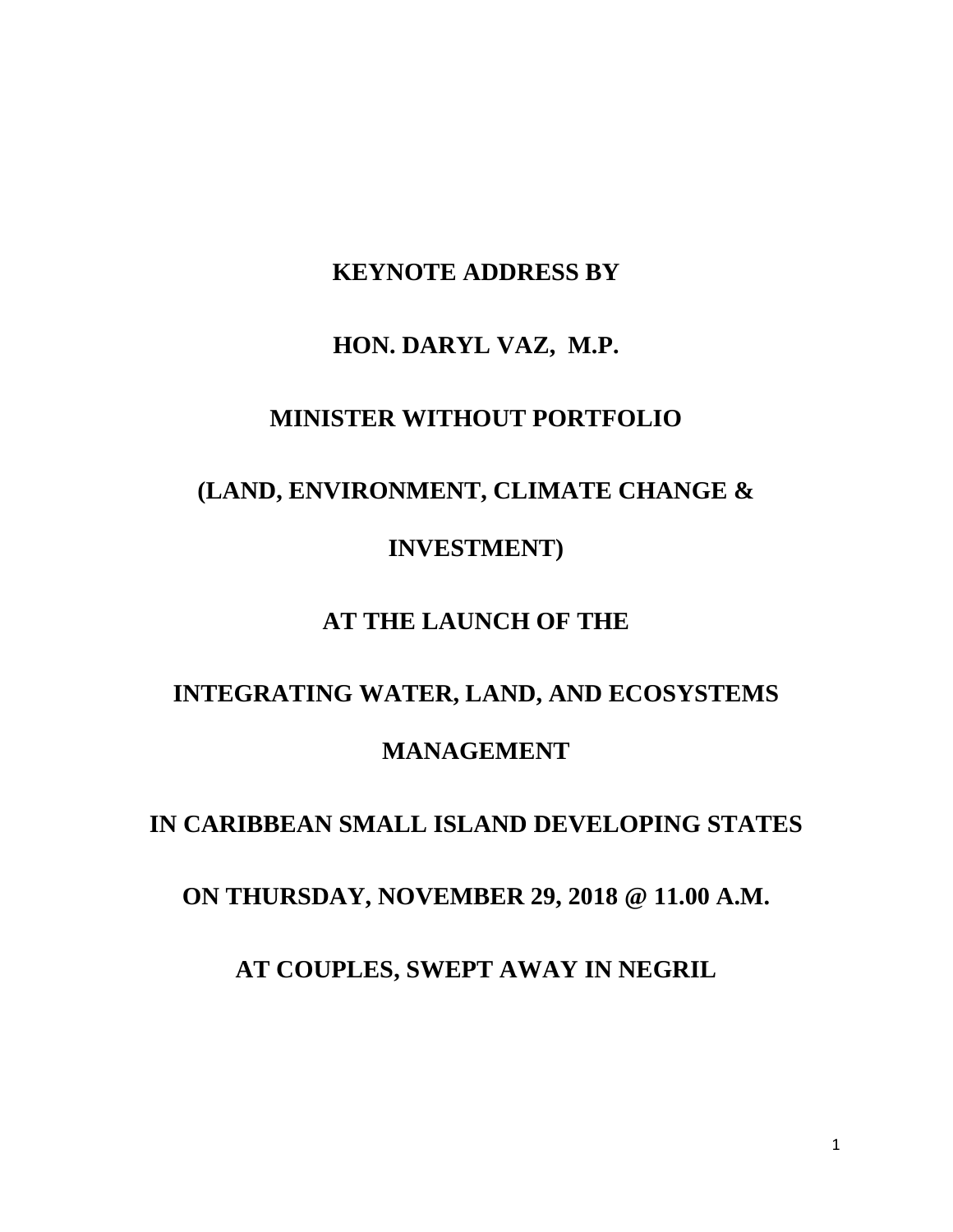## **KEYNOTE ADDRESS BY**

#### **HON. DARYL VAZ, M.P.**

### **MINISTER WITHOUT PORTFOLIO**

# **(LAND, ENVIRONMENT, CLIMATE CHANGE & INVESTMENT)**

### **AT THE LAUNCH OF THE**

## **INTEGRATING WATER, LAND, AND ECOSYSTEMS MANAGEMENT**

## **IN CARIBBEAN SMALL ISLAND DEVELOPING STATES**

**ON THURSDAY, NOVEMBER 29, 2018 @ 11.00 A.M.**

**AT COUPLES, SWEPT AWAY IN NEGRIL**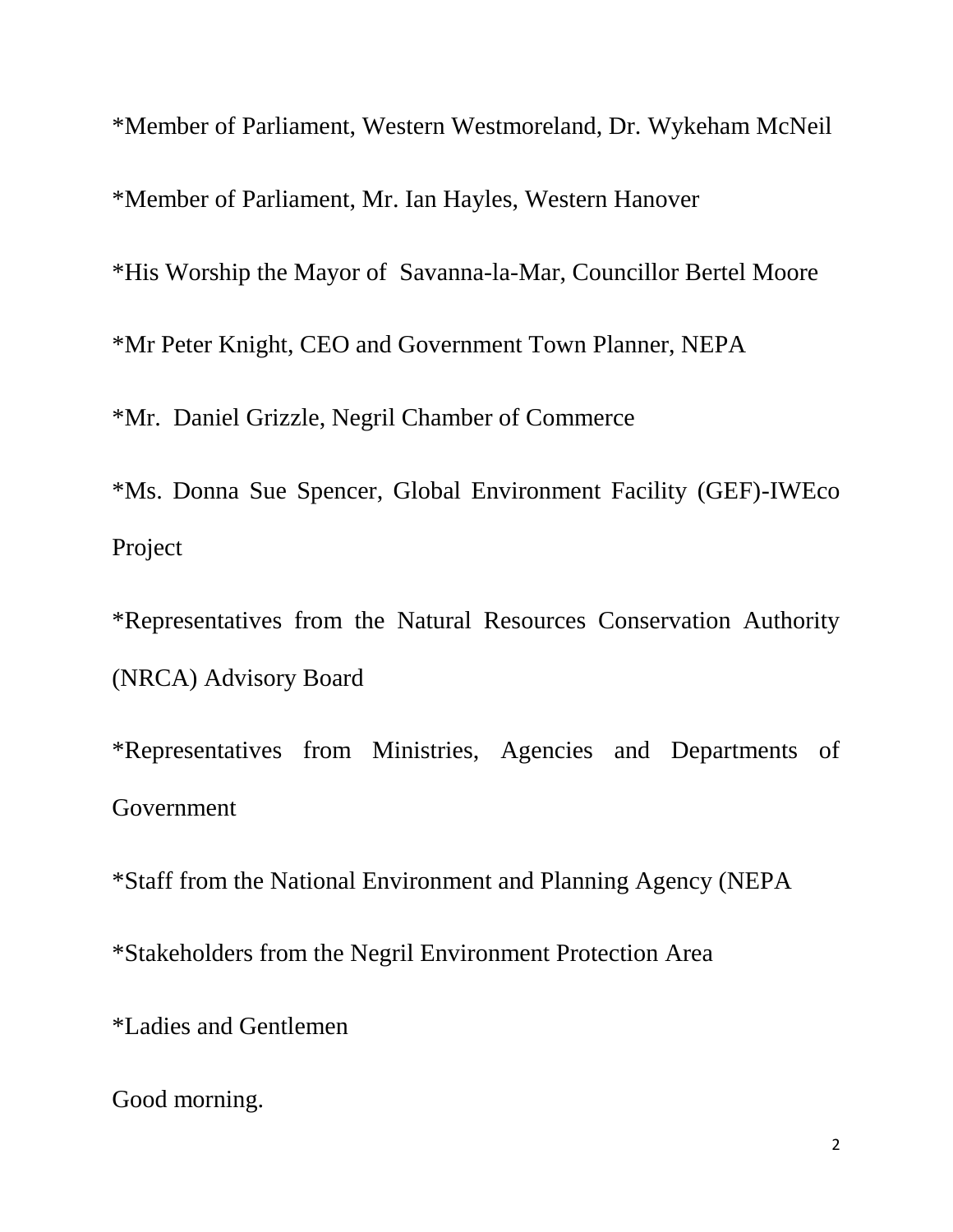\*Member of Parliament, Western Westmoreland, Dr. Wykeham McNeil \*Member of Parliament, Mr. Ian Hayles, Western Hanover \*His Worship the Mayor of Savanna-la-Mar, Councillor Bertel Moore \*Mr Peter Knight, CEO and Government Town Planner, NEPA \*Mr. Daniel Grizzle, Negril Chamber of Commerce \*Ms. Donna Sue Spencer, Global Environment Facility (GEF)-IWEco Project

\*Representatives from the Natural Resources Conservation Authority (NRCA) Advisory Board

\*Representatives from Ministries, Agencies and Departments of Government

\*Staff from the National Environment and Planning Agency (NEPA \*Stakeholders from the Negril Environment Protection Area \*Ladies and Gentlemen

Good morning.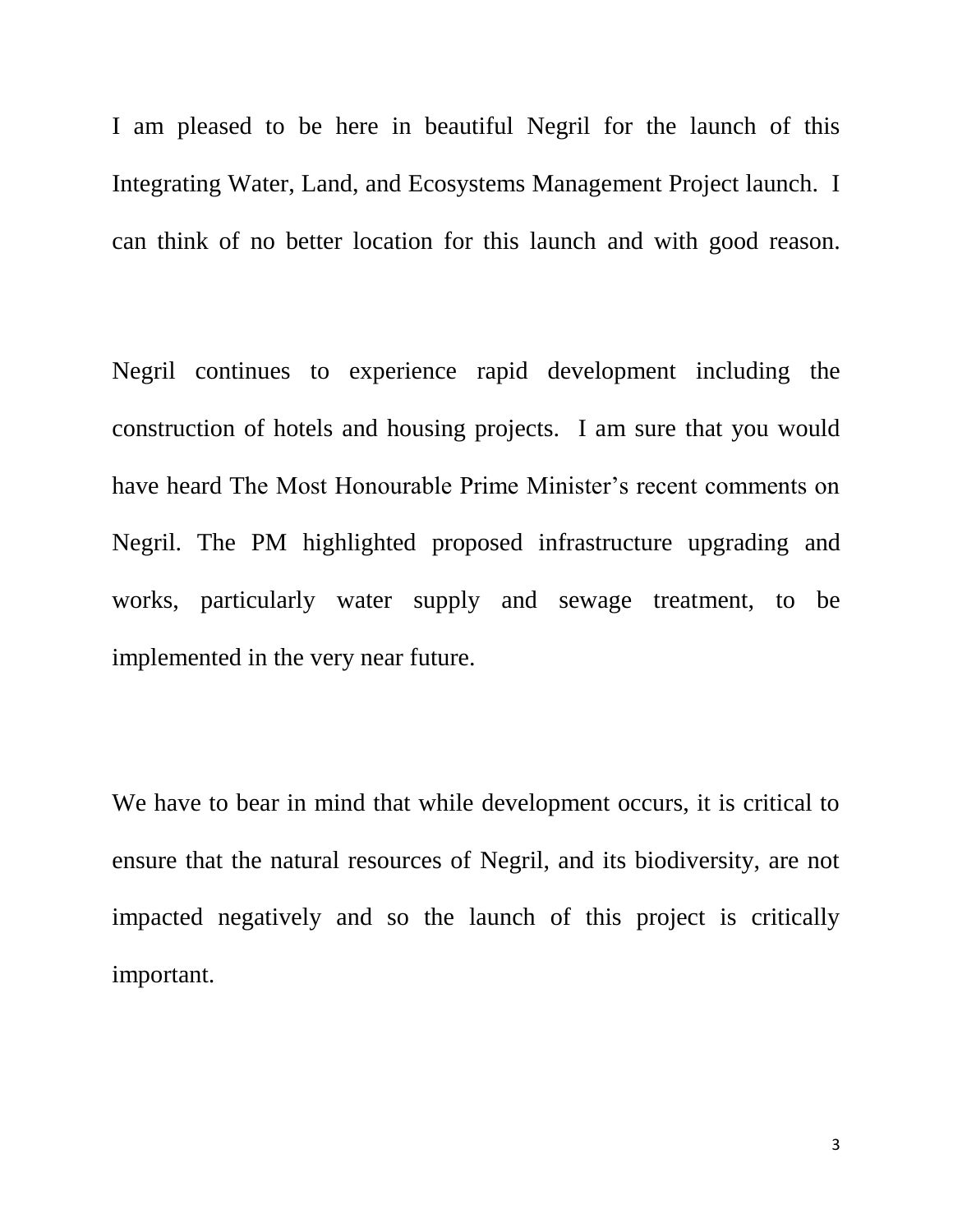I am pleased to be here in beautiful Negril for the launch of this Integrating Water, Land, and Ecosystems Management Project launch. I can think of no better location for this launch and with good reason.

Negril continues to experience rapid development including the construction of hotels and housing projects. I am sure that you would have heard The Most Honourable Prime Minister's recent comments on Negril. The PM highlighted proposed infrastructure upgrading and works, particularly water supply and sewage treatment, to be implemented in the very near future.

We have to bear in mind that while development occurs, it is critical to ensure that the natural resources of Negril, and its biodiversity, are not impacted negatively and so the launch of this project is critically important.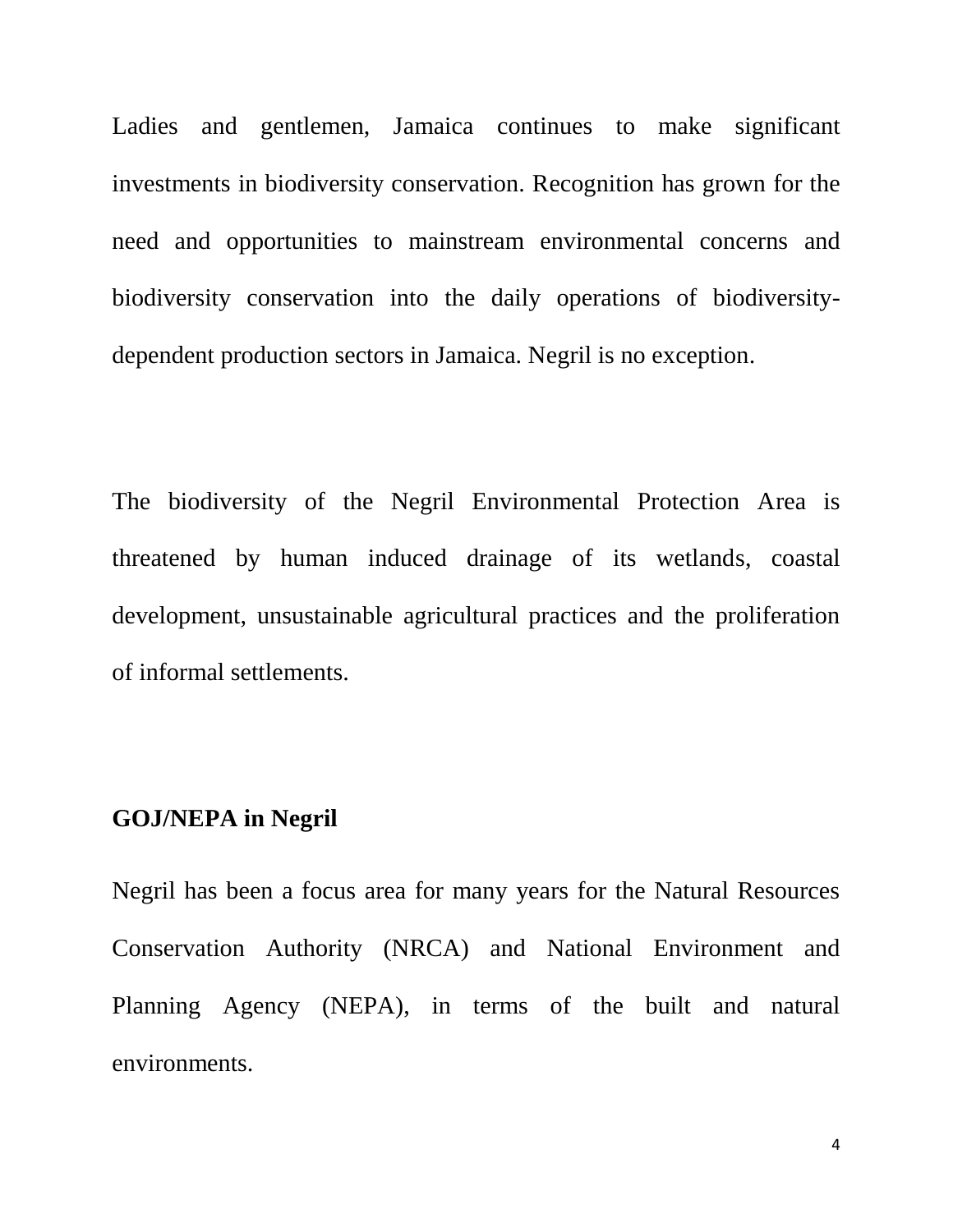Ladies and gentlemen, Jamaica continues to make significant investments in biodiversity conservation. Recognition has grown for the need and opportunities to mainstream environmental concerns and biodiversity conservation into the daily operations of biodiversitydependent production sectors in Jamaica. Negril is no exception.

The biodiversity of the Negril Environmental Protection Area is threatened by human induced drainage of its wetlands, coastal development, unsustainable agricultural practices and the proliferation of informal settlements.

#### **GOJ/NEPA in Negril**

Negril has been a focus area for many years for the Natural Resources Conservation Authority (NRCA) and National Environment and Planning Agency (NEPA), in terms of the built and natural environments.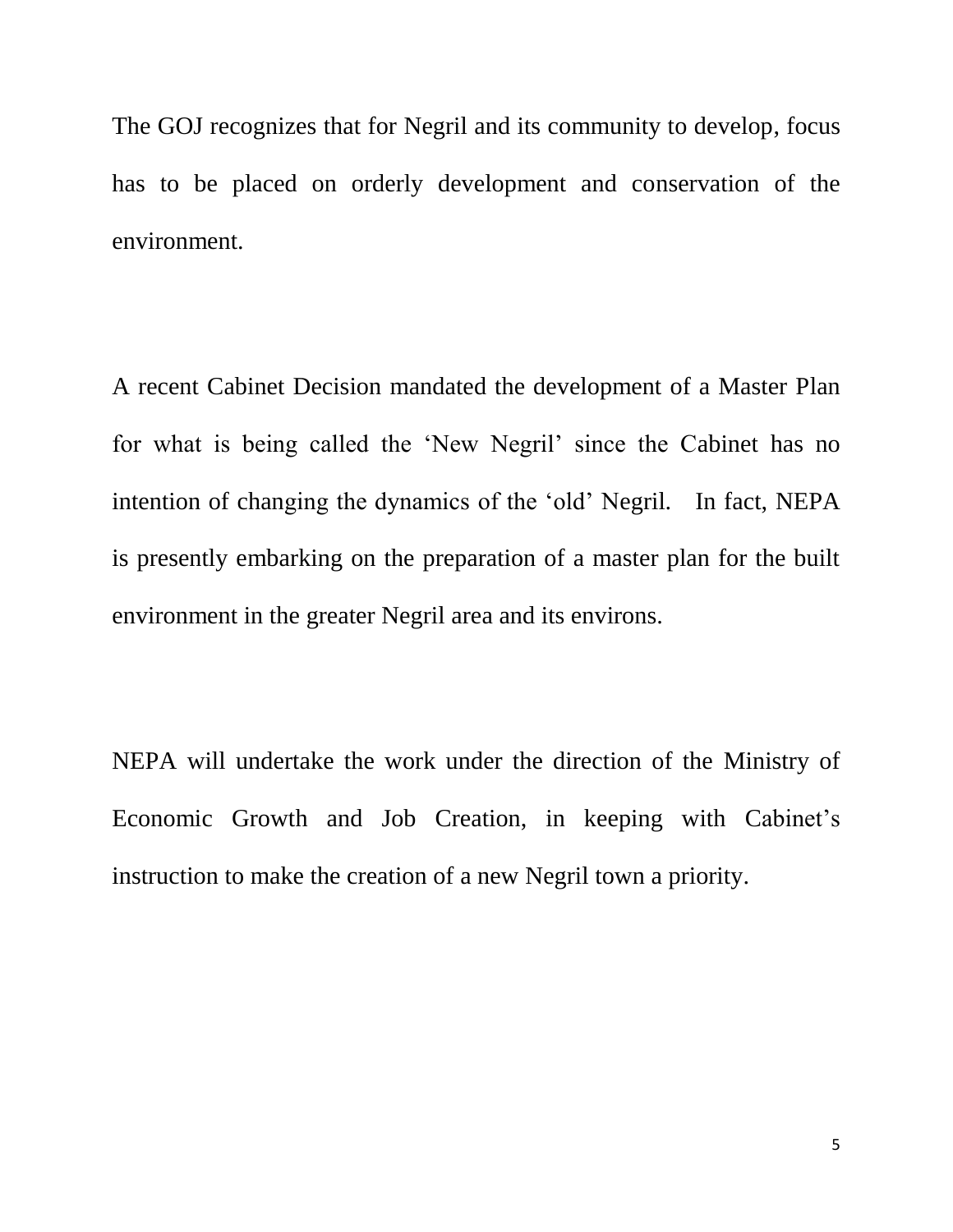The GOJ recognizes that for Negril and its community to develop, focus has to be placed on orderly development and conservation of the environment.

A recent Cabinet Decision mandated the development of a Master Plan for what is being called the 'New Negril' since the Cabinet has no intention of changing the dynamics of the 'old' Negril. In fact, NEPA is presently embarking on the preparation of a master plan for the built environment in the greater Negril area and its environs.

NEPA will undertake the work under the direction of the Ministry of Economic Growth and Job Creation, in keeping with Cabinet's instruction to make the creation of a new Negril town a priority.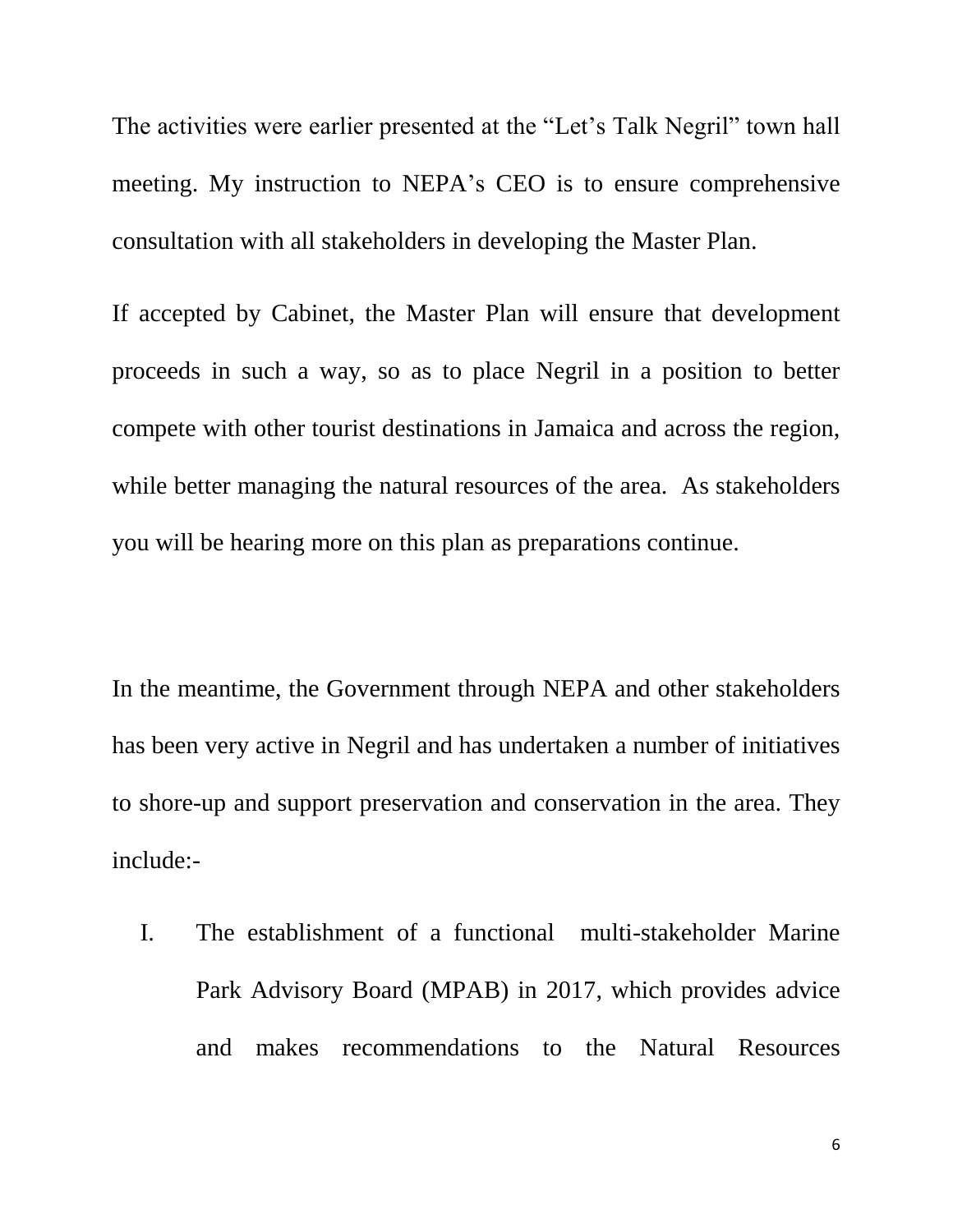The activities were earlier presented at the "Let's Talk Negril" town hall meeting. My instruction to NEPA's CEO is to ensure comprehensive consultation with all stakeholders in developing the Master Plan.

If accepted by Cabinet, the Master Plan will ensure that development proceeds in such a way, so as to place Negril in a position to better compete with other tourist destinations in Jamaica and across the region, while better managing the natural resources of the area. As stakeholders you will be hearing more on this plan as preparations continue.

In the meantime, the Government through NEPA and other stakeholders has been very active in Negril and has undertaken a number of initiatives to shore-up and support preservation and conservation in the area. They include:-

I. The establishment of a functional multi-stakeholder Marine Park Advisory Board (MPAB) in 2017, which provides advice and makes recommendations to the Natural Resources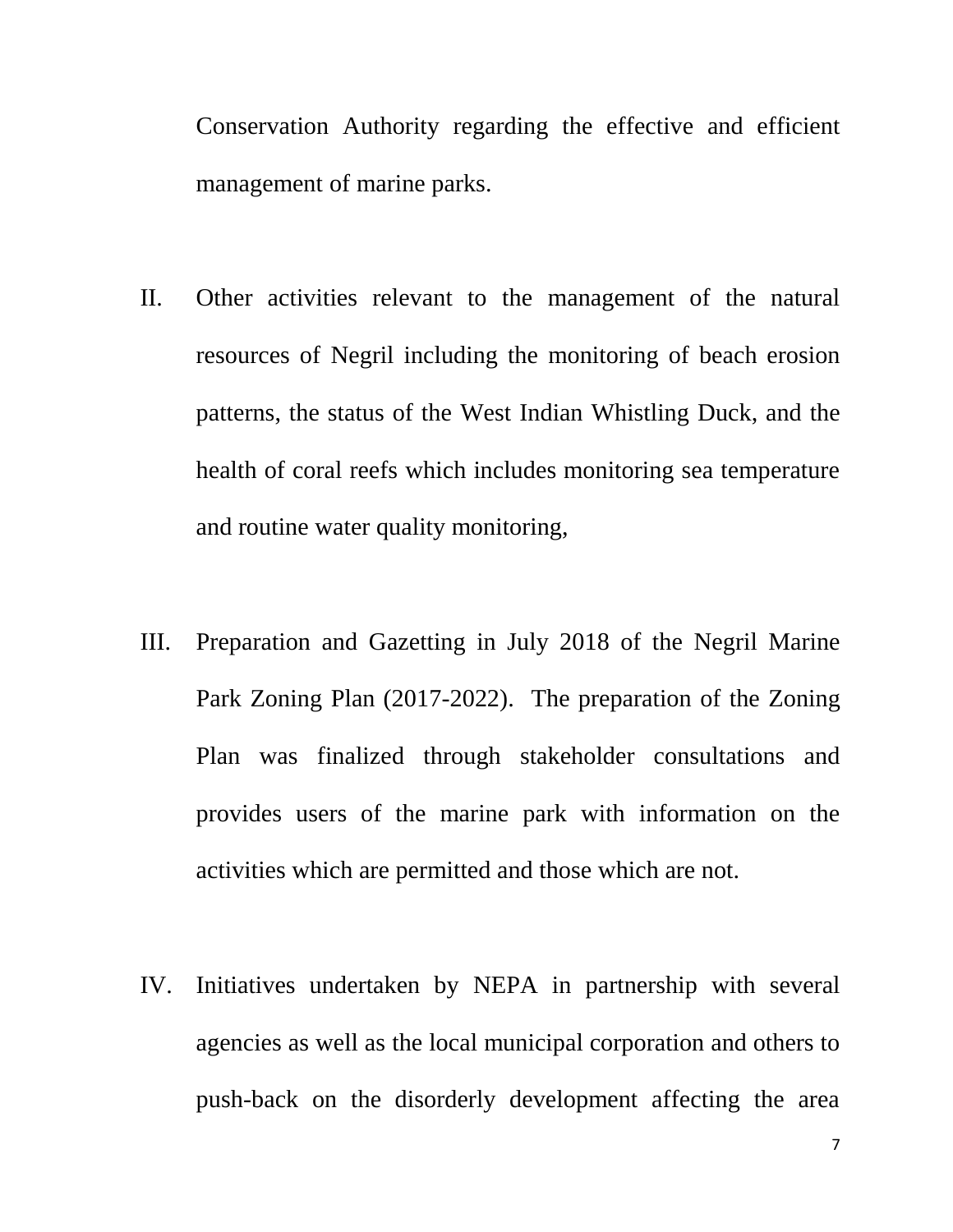Conservation Authority regarding the effective and efficient management of marine parks.

- II. Other activities relevant to the management of the natural resources of Negril including the monitoring of beach erosion patterns, the status of the West Indian Whistling Duck, and the health of coral reefs which includes monitoring sea temperature and routine water quality monitoring,
- III. Preparation and Gazetting in July 2018 of the Negril Marine Park Zoning Plan (2017-2022). The preparation of the Zoning Plan was finalized through stakeholder consultations and provides users of the marine park with information on the activities which are permitted and those which are not.
- IV. Initiatives undertaken by NEPA in partnership with several agencies as well as the local municipal corporation and others to push-back on the disorderly development affecting the area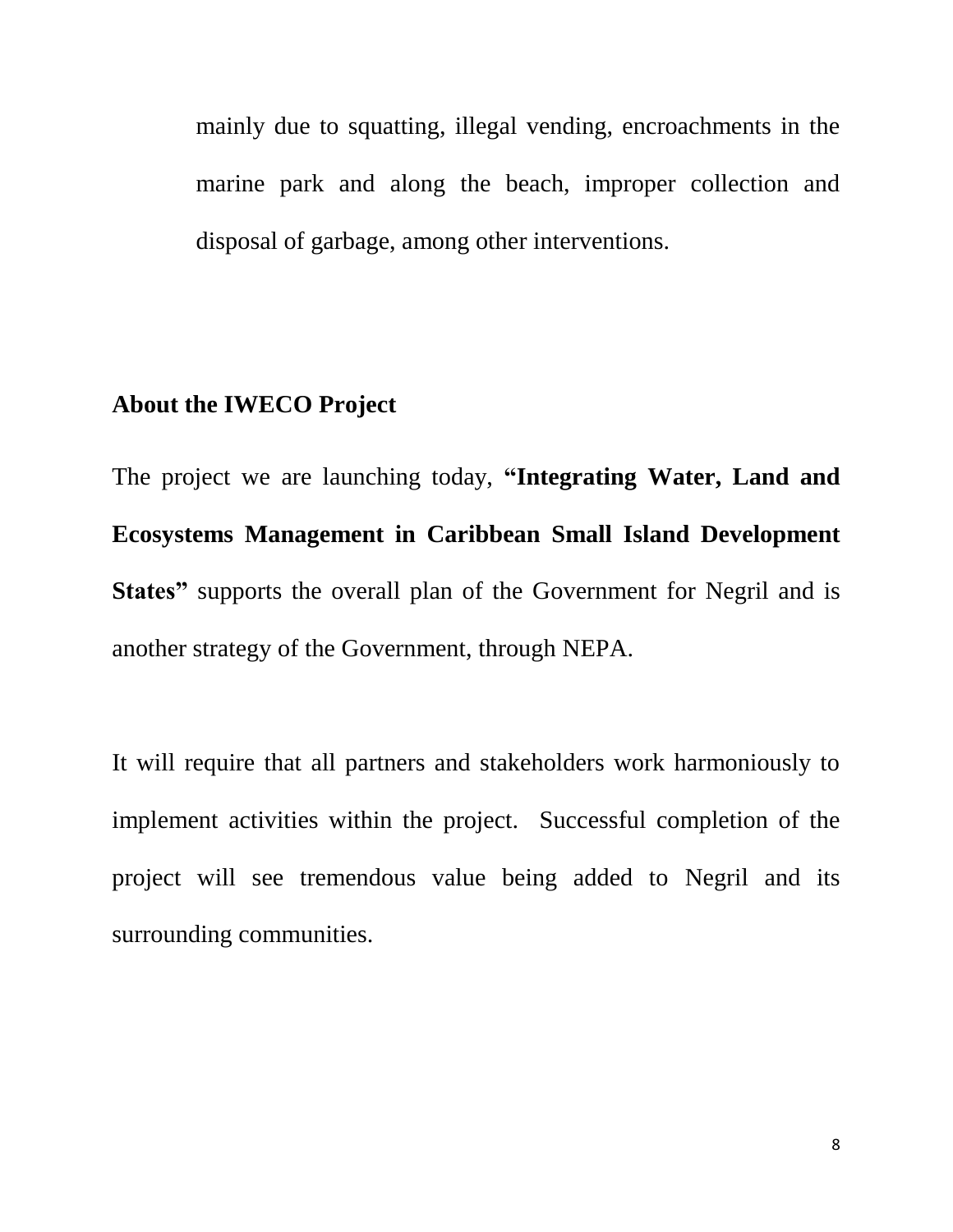mainly due to squatting, illegal vending, encroachments in the marine park and along the beach, improper collection and disposal of garbage, among other interventions.

## **About the IWECO Project**

The project we are launching today, **"Integrating Water, Land and Ecosystems Management in Caribbean Small Island Development States"** supports the overall plan of the Government for Negril and is another strategy of the Government, through NEPA.

It will require that all partners and stakeholders work harmoniously to implement activities within the project. Successful completion of the project will see tremendous value being added to Negril and its surrounding communities.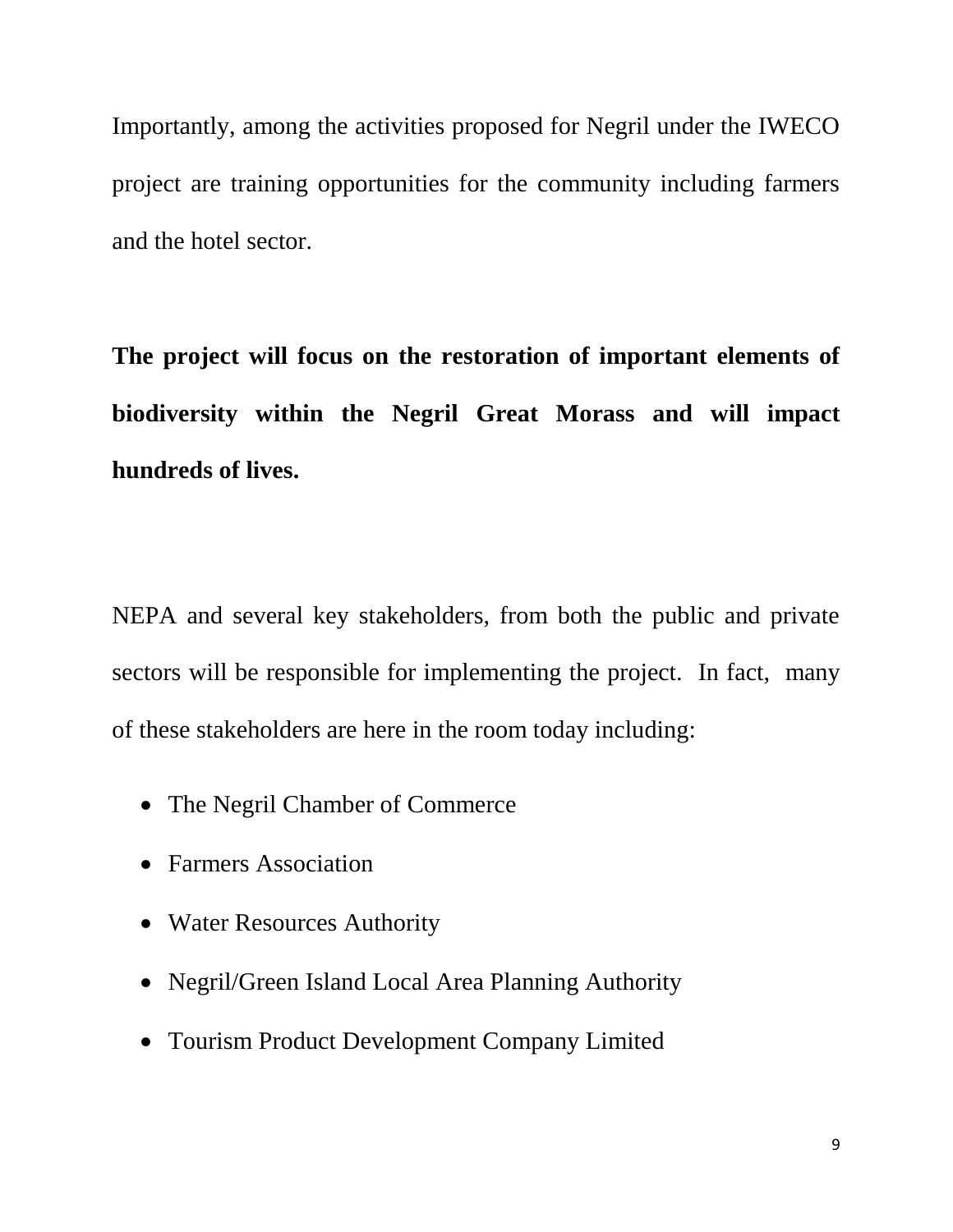Importantly, among the activities proposed for Negril under the IWECO project are training opportunities for the community including farmers and the hotel sector.

**The project will focus on the restoration of important elements of biodiversity within the Negril Great Morass and will impact hundreds of lives.** 

NEPA and several key stakeholders, from both the public and private sectors will be responsible for implementing the project. In fact, many of these stakeholders are here in the room today including:

- The Negril Chamber of Commerce
- Farmers Association
- Water Resources Authority
- Negril/Green Island Local Area Planning Authority
- Tourism Product Development Company Limited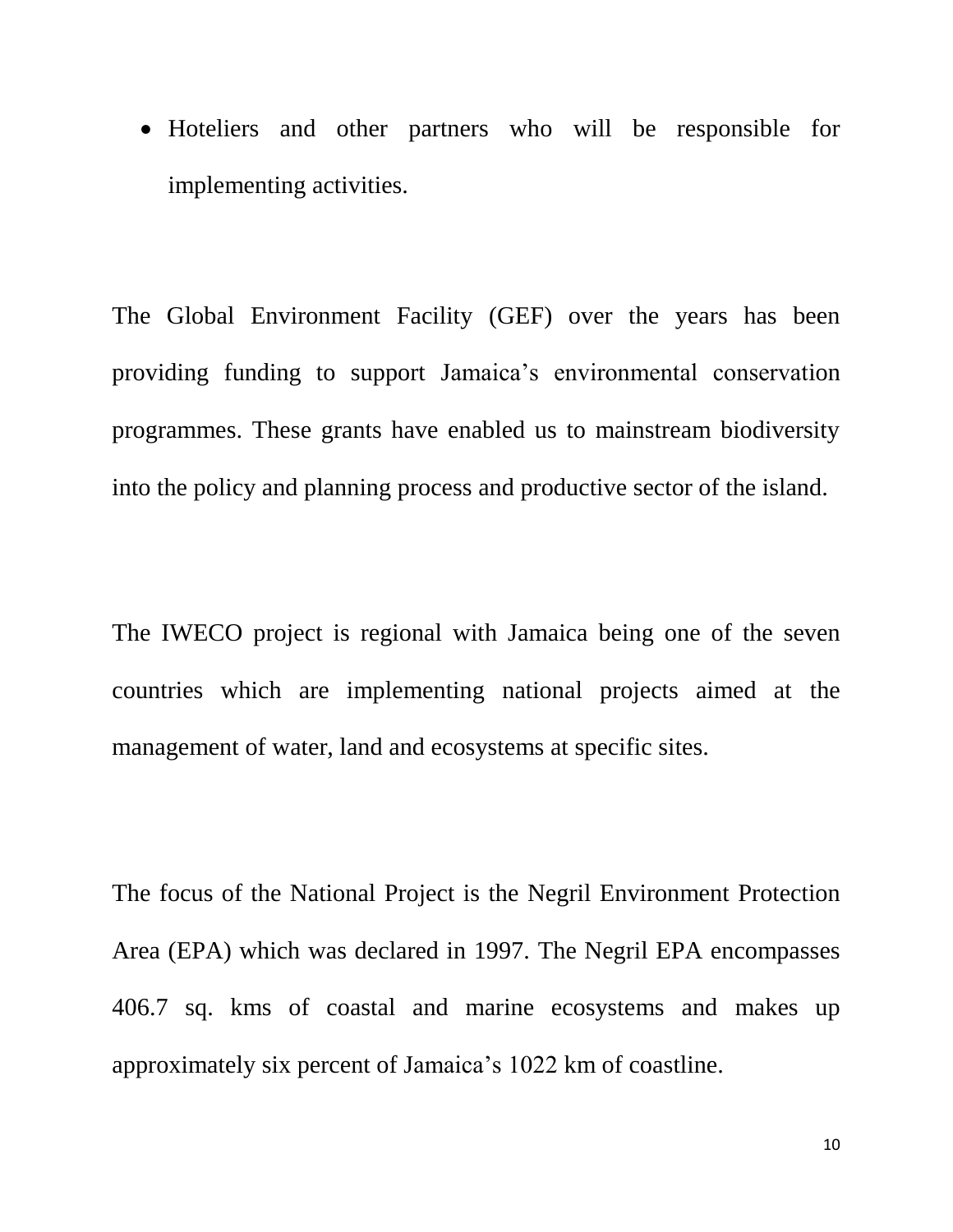Hoteliers and other partners who will be responsible for implementing activities.

The Global Environment Facility (GEF) over the years has been providing funding to support Jamaica's environmental conservation programmes. These grants have enabled us to mainstream biodiversity into the policy and planning process and productive sector of the island.

The IWECO project is regional with Jamaica being one of the seven countries which are implementing national projects aimed at the management of water, land and ecosystems at specific sites.

The focus of the National Project is the Negril Environment Protection Area (EPA) which was declared in 1997. The Negril EPA encompasses 406.7 sq. kms of coastal and marine ecosystems and makes up approximately six percent of Jamaica's 1022 km of coastline.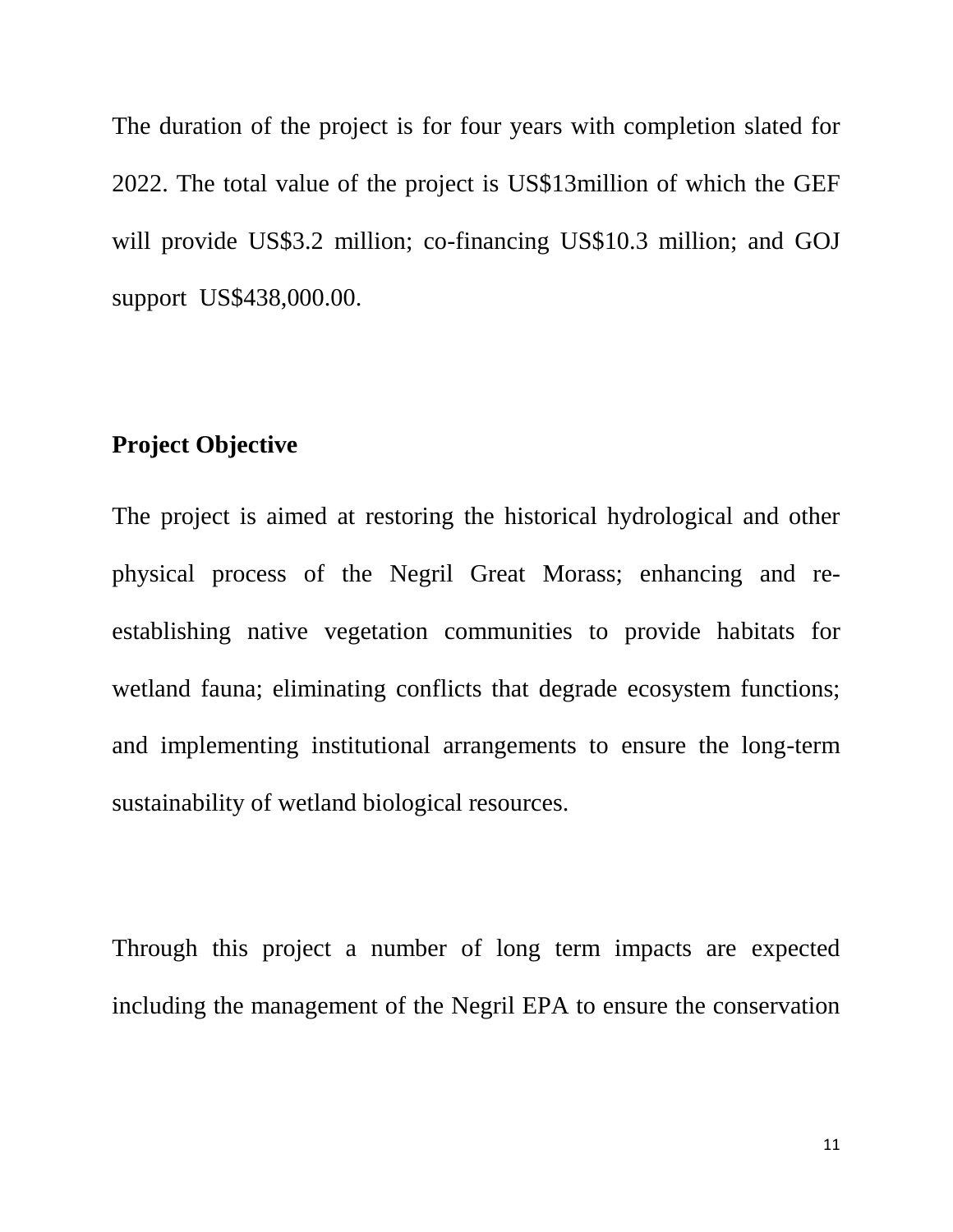The duration of the project is for four years with completion slated for 2022. The total value of the project is US\$13million of which the GEF will provide US\$3.2 million; co-financing US\$10.3 million; and GOJ support US\$438,000.00.

### **Project Objective**

The project is aimed at restoring the historical hydrological and other physical process of the Negril Great Morass; enhancing and reestablishing native vegetation communities to provide habitats for wetland fauna; eliminating conflicts that degrade ecosystem functions; and implementing institutional arrangements to ensure the long-term sustainability of wetland biological resources.

Through this project a number of long term impacts are expected including the management of the Negril EPA to ensure the conservation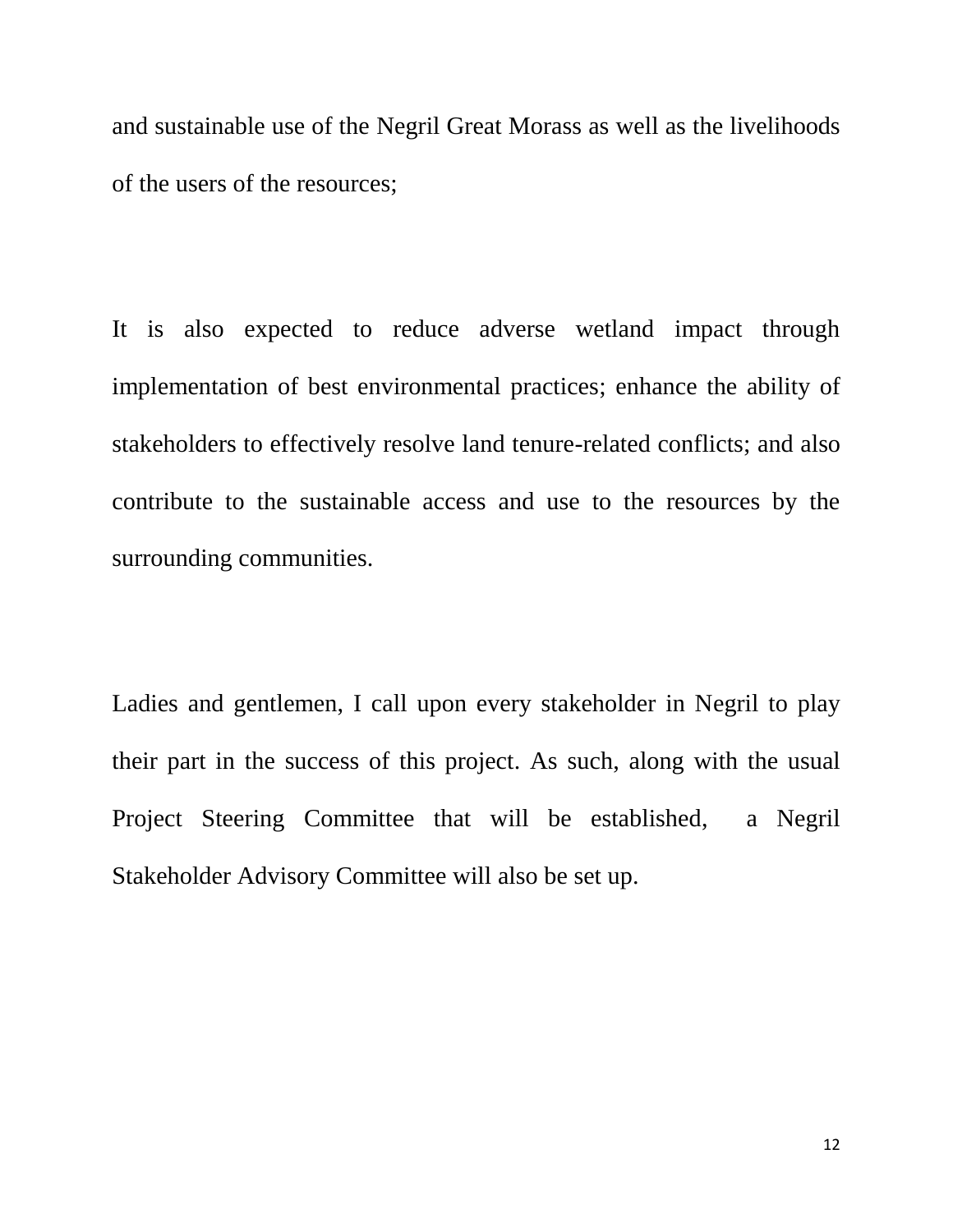and sustainable use of the Negril Great Morass as well as the livelihoods of the users of the resources;

It is also expected to reduce adverse wetland impact through implementation of best environmental practices; enhance the ability of stakeholders to effectively resolve land tenure-related conflicts; and also contribute to the sustainable access and use to the resources by the surrounding communities.

Ladies and gentlemen, I call upon every stakeholder in Negril to play their part in the success of this project. As such, along with the usual Project Steering Committee that will be established, a Negril Stakeholder Advisory Committee will also be set up.